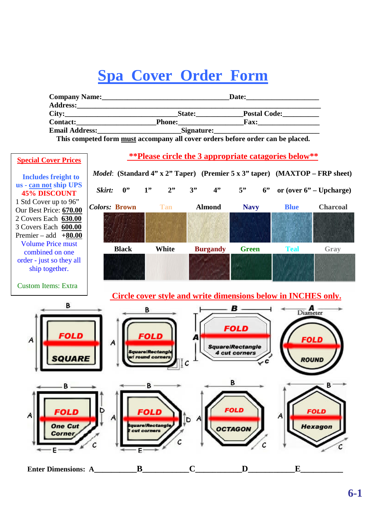## **Spa Cover Order Form**

| <b>Company Name:</b>  | Date:<br>the control of the control of the control of the control of the control of |                     |  |  |
|-----------------------|-------------------------------------------------------------------------------------|---------------------|--|--|
| City:                 | <b>State:</b>                                                                       | <b>Postal Code:</b> |  |  |
| <b>Contact:</b>       | <b>Phone:</b>                                                                       |                     |  |  |
| <b>Email Address:</b> | Signature:                                                                          |                     |  |  |

**This competed form must accompany all cover orders before order can be placed.**

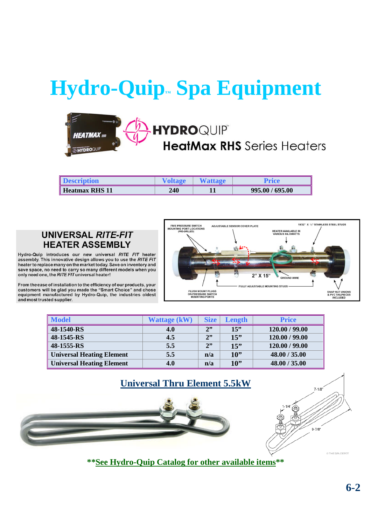# **Hydro-Quip™ Spa Equipment**

#### **HYDROQUIP HFATMAX HeatMax RHS** Series Heaters **THYDROQUIP**

| <b>Description</b>    |     | <b>Wattage</b> | Price           |
|-----------------------|-----|----------------|-----------------|
| <b>Heatmax RHS 11</b> | 240 | .              | 995.00 / 695.00 |

#### **UNIVERSAL RITE-FIT HEATER ASSEMBLY**

Hydro-Quip introduces our new universal RITE FIT heater assembly. This innovative design allows you to use the RITE FIT heater to replace many on the market today. Save on inventory and save space, no need to carry so many different models when you only need one, the RITE FIT universal heater!

From the ease of installation to the efficiency of our products, your customers will be glad you made the "Smart Choice" and chose<br>equipment manufactured by Hydro-Quip, the industries oldest and most trusted supplier.



| <b>Model</b>                     | <b>Wattage (kW)</b> | <b>Size</b> | Length | <b>Price</b>   |
|----------------------------------|---------------------|-------------|--------|----------------|
| 48-1540-RS                       | 4.0                 | 2"          | 15"    | 120.00 / 99.00 |
| 48-1545-RS                       | 4.5                 | 2"          | 15"    | 120.00 / 99.00 |
| 48-1555-RS                       | 5.5                 | 2"          | 15"    | 120.00 / 99.00 |
| <b>Universal Heating Element</b> | 5.5                 | n/a         | $10$ " | 48.00 / 35.00  |
| <b>Universal Heating Element</b> | 4.0                 | n/a         | $10$ " | 48.00 / 35.00  |





**\*\*See Hydro-Quip Catalog for other available items\*\***